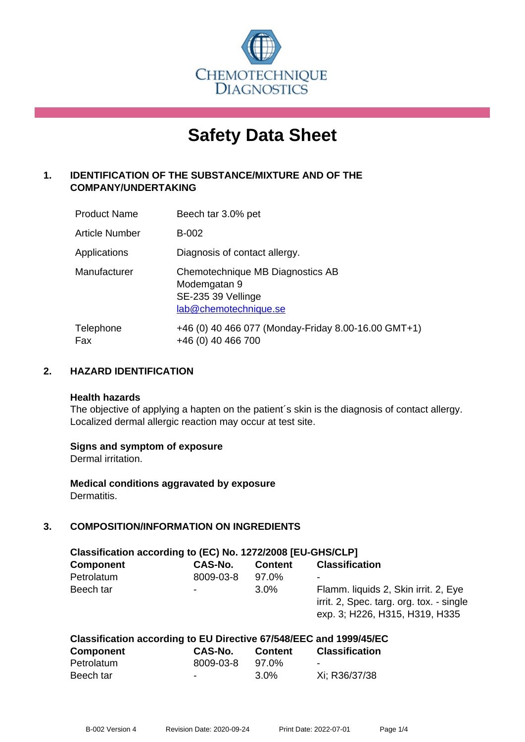

# **Safety Data Sheet**

# **1. IDENTIFICATION OF THE SUBSTANCE/MIXTURE AND OF THE COMPANY/UNDERTAKING**

| <b>Product Name</b>   | Beech tar 3.0% pet                                                                              |
|-----------------------|-------------------------------------------------------------------------------------------------|
| <b>Article Number</b> | B-002                                                                                           |
| Applications          | Diagnosis of contact allergy.                                                                   |
| Manufacturer          | Chemotechnique MB Diagnostics AB<br>Modemgatan 9<br>SE-235 39 Vellinge<br>lab@chemotechnique.se |
| Telephone<br>Fax      | +46 (0) 40 466 077 (Monday-Friday 8.00-16.00 GMT+1)<br>+46 (0) 40 466 700                       |

# **2. HAZARD IDENTIFICATION**

#### **Health hazards**

The objective of applying a hapten on the patient's skin is the diagnosis of contact allergy. Localized dermal allergic reaction may occur at test site.

## **Signs and symptom of exposure**

Dermal irritation.

**Medical conditions aggravated by exposure** Dermatitis.

## **3. COMPOSITION/INFORMATION ON INGREDIENTS**

| Classification according to (EC) No. 1272/2008 [EU-GHS/CLP] |                          |                |                                                                                                                    |  |  |
|-------------------------------------------------------------|--------------------------|----------------|--------------------------------------------------------------------------------------------------------------------|--|--|
| <b>Component</b>                                            | <b>CAS-No.</b>           | <b>Content</b> | <b>Classification</b>                                                                                              |  |  |
| Petrolatum                                                  | 8009-03-8                | 97.0%          | $\overline{\phantom{a}}$                                                                                           |  |  |
| Beech tar                                                   | $\overline{\phantom{a}}$ | $3.0\%$        | Flamm. liquids 2, Skin irrit. 2, Eye<br>irrit. 2, Spec. targ. org. tox. - single<br>exp. 3; H226, H315, H319, H335 |  |  |

#### **Classification according to EU Directive 67/548/EEC and 1999/45/EC Component CAS-No. Content Classification** Petrolatum 8009-03-8 97.0%

| .         |      |               |
|-----------|------|---------------|
| Beech tar | 3.0% | Xi; R36/37/38 |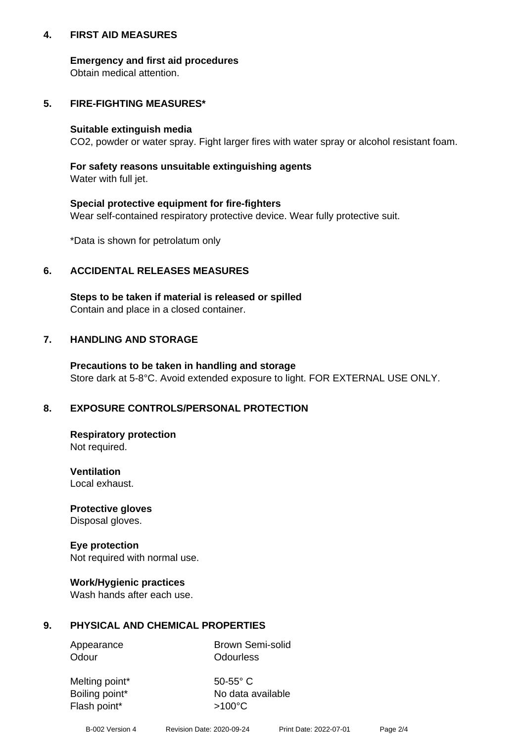## **4. FIRST AID MEASURES**

## **Emergency and first aid procedures**

Obtain medical attention.

# **5. FIRE-FIGHTING MEASURES\***

#### **Suitable extinguish media**

CO2, powder or water spray. Fight larger fires with water spray or alcohol resistant foam.

# **For safety reasons unsuitable extinguishing agents**

Water with full jet.

## **Special protective equipment for fire-fighters**

Wear self-contained respiratory protective device. Wear fully protective suit.

\*Data is shown for petrolatum only

# **6. ACCIDENTAL RELEASES MEASURES**

**Steps to be taken if material is released or spilled** Contain and place in a closed container.

# **7. HANDLING AND STORAGE**

**Precautions to be taken in handling and storage** Store dark at 5-8°C. Avoid extended exposure to light. FOR EXTERNAL USE ONLY.

# **8. EXPOSURE CONTROLS/PERSONAL PROTECTION**

**Respiratory protection** Not required.

**Ventilation** Local exhaust.

**Protective gloves** Disposal gloves.

#### **Eye protection** Not required with normal use.

## **Work/Hygienic practices**

Wash hands after each use.

## **9. PHYSICAL AND CHEMICAL PROPERTIES**

Odour **Odourless** 

Appearance Brown Semi-solid

Melting point\* 50-55° C Flash point\*  $>100^{\circ}$ C

Boiling point\* No data available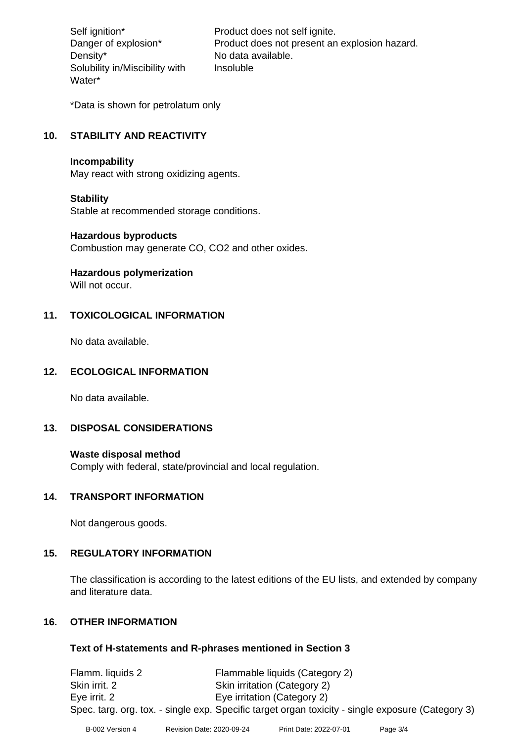Density\* No data available. Solubility in/Miscibility with Water\*

Self ignition\* Product does not self ignite. Danger of explosion\* Product does not present an explosion hazard. Insoluble

\*Data is shown for petrolatum only

# **10. STABILITY AND REACTIVITY**

#### **Incompability**

May react with strong oxidizing agents.

#### **Stability**

Stable at recommended storage conditions.

#### **Hazardous byproducts**

Combustion may generate CO, CO2 and other oxides.

**Hazardous polymerization**

Will not occur.

## **11. TOXICOLOGICAL INFORMATION**

No data available.

## **12. ECOLOGICAL INFORMATION**

No data available.

# **13. DISPOSAL CONSIDERATIONS**

#### **Waste disposal method**

Comply with federal, state/provincial and local regulation.

## **14. TRANSPORT INFORMATION**

Not dangerous goods.

## **15. REGULATORY INFORMATION**

The classification is according to the latest editions of the EU lists, and extended by company and literature data.

## **16. OTHER INFORMATION**

## **Text of H-statements and R-phrases mentioned in Section 3**

Flamm. liquids 2 Flammable liquids (Category 2) Skin irrit. 2 Skin irritation (Category 2) Eye irrit. 2 Eye irritation (Category 2) Spec. targ. org. tox. - single exp. Specific target organ toxicity - single exposure (Category 3)